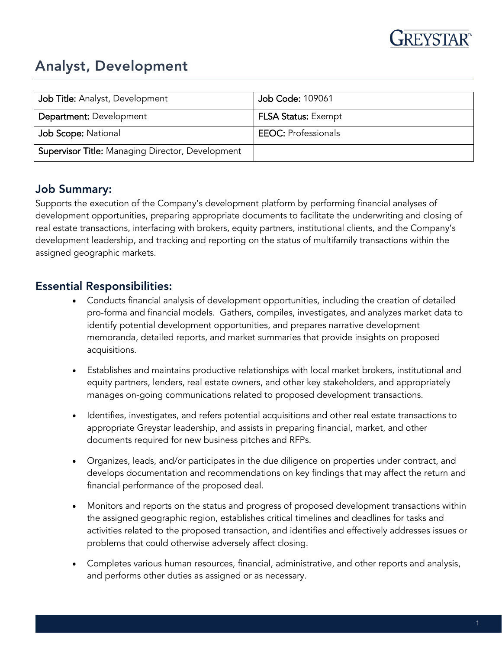

# Analyst, Development

| Job Title: Analyst, Development                         | Job Code: 109061           |
|---------------------------------------------------------|----------------------------|
| <b>Department: Development</b>                          | <b>FLSA Status: Exempt</b> |
| Job Scope: National                                     | <b>EEOC: Professionals</b> |
| <b>Supervisor Title: Managing Director, Development</b> |                            |

## Job Summary:

Supports the execution of the Company's development platform by performing financial analyses of development opportunities, preparing appropriate documents to facilitate the underwriting and closing of real estate transactions, interfacing with brokers, equity partners, institutional clients, and the Company's development leadership, and tracking and reporting on the status of multifamily transactions within the assigned geographic markets.

### Essential Responsibilities:

- Conducts financial analysis of development opportunities, including the creation of detailed pro-forma and financial models. Gathers, compiles, investigates, and analyzes market data to identify potential development opportunities, and prepares narrative development memoranda, detailed reports, and market summaries that provide insights on proposed acquisitions.
- Establishes and maintains productive relationships with local market brokers, institutional and equity partners, lenders, real estate owners, and other key stakeholders, and appropriately manages on-going communications related to proposed development transactions.
- Identifies, investigates, and refers potential acquisitions and other real estate transactions to appropriate Greystar leadership, and assists in preparing financial, market, and other documents required for new business pitches and RFPs.
- Organizes, leads, and/or participates in the due diligence on properties under contract, and develops documentation and recommendations on key findings that may affect the return and financial performance of the proposed deal.
- Monitors and reports on the status and progress of proposed development transactions within the assigned geographic region, establishes critical timelines and deadlines for tasks and activities related to the proposed transaction, and identifies and effectively addresses issues or problems that could otherwise adversely affect closing.
- Completes various human resources, financial, administrative, and other reports and analysis, and performs other duties as assigned or as necessary.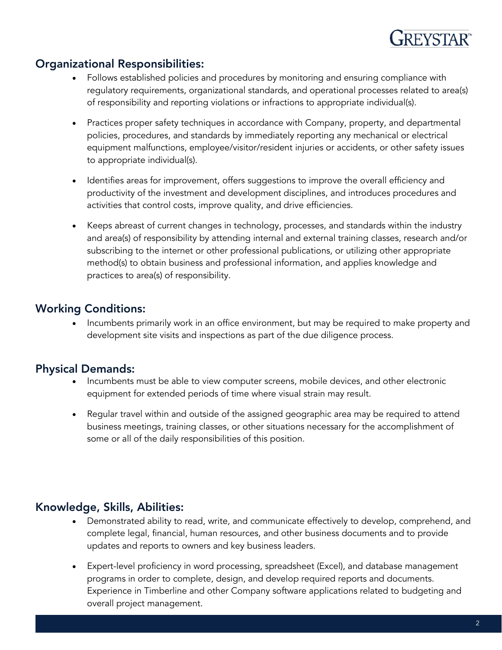

### Organizational Responsibilities:

- Follows established policies and procedures by monitoring and ensuring compliance with regulatory requirements, organizational standards, and operational processes related to area(s) of responsibility and reporting violations or infractions to appropriate individual(s).
- Practices proper safety techniques in accordance with Company, property, and departmental policies, procedures, and standards by immediately reporting any mechanical or electrical equipment malfunctions, employee/visitor/resident injuries or accidents, or other safety issues to appropriate individual(s).
- Identifies areas for improvement, offers suggestions to improve the overall efficiency and productivity of the investment and development disciplines, and introduces procedures and activities that control costs, improve quality, and drive efficiencies.
- Keeps abreast of current changes in technology, processes, and standards within the industry and area(s) of responsibility by attending internal and external training classes, research and/or subscribing to the internet or other professional publications, or utilizing other appropriate method(s) to obtain business and professional information, and applies knowledge and practices to area(s) of responsibility.

#### Working Conditions:

• Incumbents primarily work in an office environment, but may be required to make property and development site visits and inspections as part of the due diligence process.

## Physical Demands:

- Incumbents must be able to view computer screens, mobile devices, and other electronic equipment for extended periods of time where visual strain may result.
- Regular travel within and outside of the assigned geographic area may be required to attend business meetings, training classes, or other situations necessary for the accomplishment of some or all of the daily responsibilities of this position.

## Knowledge, Skills, Abilities:

- Demonstrated ability to read, write, and communicate effectively to develop, comprehend, and complete legal, financial, human resources, and other business documents and to provide updates and reports to owners and key business leaders.
- Expert-level proficiency in word processing, spreadsheet (Excel), and database management programs in order to complete, design, and develop required reports and documents. Experience in Timberline and other Company software applications related to budgeting and overall project management.